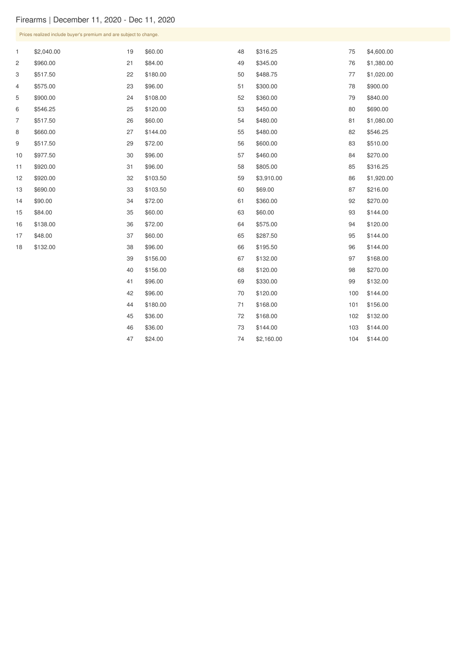## Firearms | December 11, 2020 - Dec 11, 2020

| Prices realized include buyer's premium and are subject to change. |            |    |          |    |            |     |            |
|--------------------------------------------------------------------|------------|----|----------|----|------------|-----|------------|
| 1                                                                  | \$2,040.00 | 19 | \$60.00  | 48 | \$316.25   | 75  | \$4,600.00 |
| 2                                                                  | \$960.00   | 21 | \$84.00  | 49 | \$345.00   | 76  | \$1,380.00 |
| 3                                                                  | \$517.50   | 22 | \$180.00 | 50 | \$488.75   | 77  | \$1,020.00 |
| 4                                                                  | \$575.00   | 23 | \$96.00  | 51 | \$300.00   | 78  | \$900.00   |
| 5                                                                  | \$900.00   | 24 | \$108.00 | 52 | \$360.00   | 79  | \$840.00   |
| 6                                                                  | \$546.25   | 25 | \$120.00 | 53 | \$450.00   | 80  | \$690.00   |
| $\overline{7}$                                                     | \$517.50   | 26 | \$60.00  | 54 | \$480.00   | 81  | \$1,080.00 |
| 8                                                                  | \$660.00   | 27 | \$144.00 | 55 | \$480.00   | 82  | \$546.25   |
| 9                                                                  | \$517.50   | 29 | \$72.00  | 56 | \$600.00   | 83  | \$510.00   |
| 10                                                                 | \$977.50   | 30 | \$96.00  | 57 | \$460.00   | 84  | \$270.00   |
| 11                                                                 | \$920.00   | 31 | \$96.00  | 58 | \$805.00   | 85  | \$316.25   |
| 12                                                                 | \$920.00   | 32 | \$103.50 | 59 | \$3,910.00 | 86  | \$1,920.00 |
| 13                                                                 | \$690.00   | 33 | \$103.50 | 60 | \$69.00    | 87  | \$216.00   |
| 14                                                                 | \$90.00    | 34 | \$72.00  | 61 | \$360.00   | 92  | \$270.00   |
| 15                                                                 | \$84.00    | 35 | \$60.00  | 63 | \$60.00    | 93  | \$144.00   |
| 16                                                                 | \$138.00   | 36 | \$72.00  | 64 | \$575.00   | 94  | \$120.00   |
| 17                                                                 | \$48.00    | 37 | \$60.00  | 65 | \$287.50   | 95  | \$144.00   |
| 18                                                                 | \$132.00   | 38 | \$96.00  | 66 | \$195.50   | 96  | \$144.00   |
|                                                                    |            | 39 | \$156.00 | 67 | \$132.00   | 97  | \$168.00   |
|                                                                    |            | 40 | \$156.00 | 68 | \$120.00   | 98  | \$270.00   |
|                                                                    |            | 41 | \$96.00  | 69 | \$330.00   | 99  | \$132.00   |
|                                                                    |            | 42 | \$96.00  | 70 | \$120.00   | 100 | \$144.00   |
|                                                                    |            | 44 | \$180.00 | 71 | \$168.00   | 101 | \$156.00   |
|                                                                    |            | 45 | \$36.00  | 72 | \$168.00   | 102 | \$132.00   |
|                                                                    |            | 46 | \$36.00  | 73 | \$144.00   | 103 | \$144.00   |
|                                                                    |            | 47 | \$24.00  | 74 | \$2,160.00 | 104 | \$144.00   |